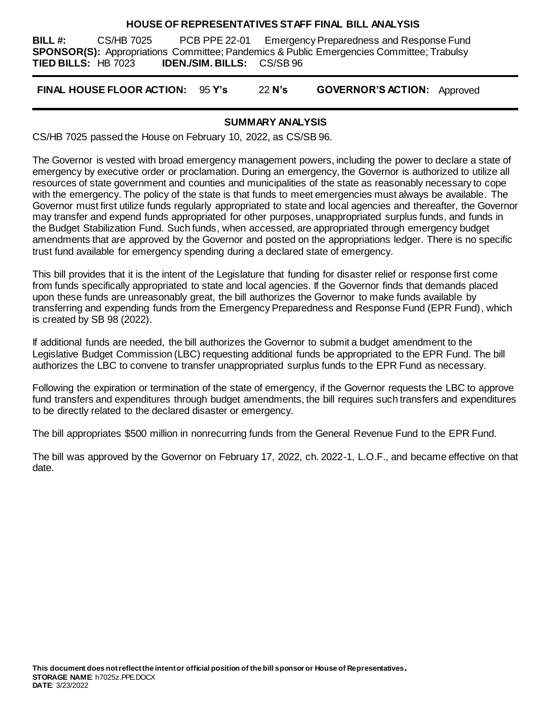#### **HOUSE OF REPRESENTATIVES STAFF FINAL BILL ANALYSIS**

**BILL #:** CS/HB 7025 PCB PPE 22-01 Emergency Preparedness and Response Fund **SPONSOR(S):** Appropriations Committee; Pandemics & Public Emergencies Committee; Trabulsy **TIED BILLS:** HB 7023 **IDEN./SIM. BILLS:** CS/SB 96

**FINAL HOUSE FLOOR ACTION:** 95 **Y's** 22 **N's GOVERNOR'S ACTION:** Approved

### **SUMMARY ANALYSIS**

CS/HB 7025 passed the House on February 10, 2022, as CS/SB 96.

The Governor is vested with broad emergency management powers, including the power to declare a state of emergency by executive order or proclamation. During an emergency, the Governor is authorized to utilize all resources of state government and counties and municipalities of the state as reasonably necessary to cope with the emergency. The policy of the state is that funds to meet emergencies must always be available. The Governor must first utilize funds regularly appropriated to state and local agencies and thereafter, the Governor may transfer and expend funds appropriated for other purposes, unappropriated surplus funds, and funds in the Budget Stabilization Fund. Such funds, when accessed, are appropriated through emergency budget amendments that are approved by the Governor and posted on the appropriations ledger. There is no specific trust fund available for emergency spending during a declared state of emergency.

This bill provides that it is the intent of the Legislature that funding for disaster relief or response first come from funds specifically appropriated to state and local agencies. If the Governor finds that demands placed upon these funds are unreasonably great, the bill authorizes the Governor to make funds available by transferring and expending funds from the Emergency Preparedness and Response Fund (EPR Fund), which is created by SB 98 (2022).

If additional funds are needed, the bill authorizes the Governor to submit a budget amendment to the Legislative Budget Commission (LBC) requesting additional funds be appropriated to the EPR Fund. The bill authorizes the LBC to convene to transfer unappropriated surplus funds to the EPR Fund as necessary.

Following the expiration or termination of the state of emergency, if the Governor requests the LBC to approve fund transfers and expenditures through budget amendments, the bill requires such transfers and expenditures to be directly related to the declared disaster or emergency.

The bill appropriates \$500 million in nonrecurring funds from the General Revenue Fund to the EPR Fund.

The bill was approved by the Governor on February 17, 2022, ch. 2022-1, L.O.F., and became effective on that date.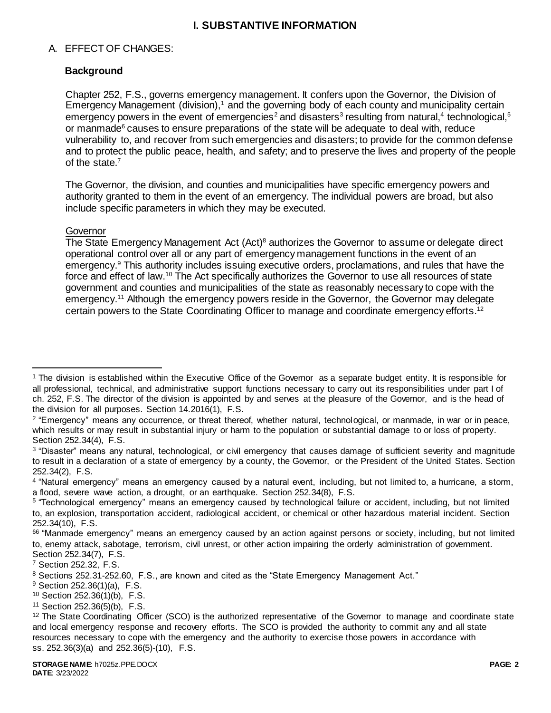## **I. SUBSTANTIVE INFORMATION**

### A. EFFECT OF CHANGES:

### **Background**

Chapter 252, F.S., governs emergency management. It confers upon the Governor, the Division of Emergency Management (division), $1$  and the governing body of each county and municipality certain emergency powers in the event of emergencies<sup>2</sup> and disasters<sup>3</sup> resulting from natural,<sup>4</sup> technological,<sup>5</sup> or manmade $6$  causes to ensure preparations of the state will be adequate to deal with, reduce vulnerability to, and recover from such emergencies and disasters; to provide for the common defense and to protect the public peace, health, and safety; and to preserve the lives and property of the people of the state.<sup>7</sup>

The Governor, the division, and counties and municipalities have specific emergency powers and authority granted to them in the event of an emergency. The individual powers are broad, but also include specific parameters in which they may be executed.

### **Governor**

 $\overline{a}$ 

The State Emergency Management Act (Act)<sup>8</sup> authorizes the Governor to assume or delegate direct operational control over all or any part of emergency management functions in the event of an emergency.<sup>9</sup> This authority includes issuing executive orders, proclamations, and rules that have the force and effect of law.<sup>10</sup> The Act specifically authorizes the Governor to use all resources of state government and counties and municipalities of the state as reasonably necessary to cope with the emergency.<sup>11</sup> Although the emergency powers reside in the Governor, the Governor may delegate certain powers to the State Coordinating Officer to manage and coordinate emergency efforts.<sup>12</sup>

<sup>&</sup>lt;sup>1</sup> The division is established within the Executive Office of the Governor as a separate budget entity. It is responsible for all professional, technical, and administrative support functions necessary to carry out its responsibilities under part I of ch. 252, F.S. The director of the division is appointed by and serves at the pleasure of the Governor, and is the head of the division for all purposes. Section 14.2016(1), F.S.

<sup>2</sup> "Emergency" means any occurrence, or threat thereof, whether natural, technological, or manmade, in war or in peace, which results or may result in substantial injury or harm to the population or substantial damage to or loss of property. Section 252.34(4), F.S.

<sup>&</sup>lt;sup>3</sup> "Disaster" means any natural, technological, or civil emergency that causes damage of sufficient severity and magnitude to result in a declaration of a state of emergency by a county, the Governor, or the President of the United States. Section 252.34(2), F.S.

<sup>4</sup> "Natural emergency" means an emergency caused by a natural event, including, but not limited to, a hurricane, a storm, a flood, severe wave action, a drought, or an earthquake. Section 252.34(8), F.S.

<sup>5</sup> "Technological emergency" means an emergency caused by technological failure or accident, including, but not limited to, an explosion, transportation accident, radiological accident, or chemical or other hazardous material incident. Section 252.34(10), F.S.

<sup>&</sup>lt;sup>66</sup> "Manmade emergency" means an emergency caused by an action against persons or society, including, but not limited to, enemy attack, sabotage, terrorism, civil unrest, or other action impairing the orderly administration of government. Section 252.34(7), F.S.

<sup>7</sup> Section 252.32, F.S.

<sup>8</sup> Sections 252.31-252.60, F.S., are known and cited as the "State Emergency Management Act."

<sup>9</sup> Section 252.36(1)(a), F.S.

<sup>10</sup> Section 252.36(1)(b), F.S.

<sup>11</sup> Section 252.36(5)(b), F.S.

<sup>&</sup>lt;sup>12</sup> The State Coordinating Officer (SCO) is the authorized representative of the Governor to manage and coordinate state and local emergency response and recovery efforts. The SCO is provided the authority to commit any and all state resources necessary to cope with the emergency and the authority to exercise those powers in accordance with ss. 252.36(3)(a) and 252.36(5)-(10), F.S.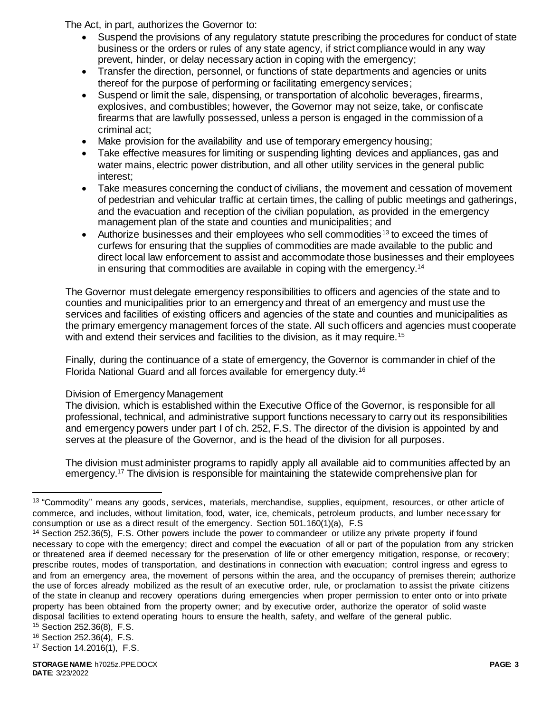The Act, in part, authorizes the Governor to:

- Suspend the provisions of any regulatory statute prescribing the procedures for conduct of state business or the orders or rules of any state agency, if strict compliance would in any way prevent, hinder, or delay necessary action in coping with the emergency;
- Transfer the direction, personnel, or functions of state departments and agencies or units thereof for the purpose of performing or facilitating emergency services;
- Suspend or limit the sale, dispensing, or transportation of alcoholic beverages, firearms, explosives, and combustibles; however, the Governor may not seize, take, or confiscate firearms that are lawfully possessed, unless a person is engaged in the commission of a criminal act;
- Make provision for the availability and use of temporary emergency housing;
- Take effective measures for limiting or suspending lighting devices and appliances, gas and water mains, electric power distribution, and all other utility services in the general public interest;
- Take measures concerning the conduct of civilians, the movement and cessation of movement of pedestrian and vehicular traffic at certain times, the calling of public meetings and gatherings, and the evacuation and reception of the civilian population, as provided in the emergency management plan of the state and counties and municipalities; and
- Authorize businesses and their employees who sell commodities <sup>13</sup> to exceed the times of curfews for ensuring that the supplies of commodities are made available to the public and direct local law enforcement to assist and accommodate those businesses and their employees in ensuring that commodities are available in coping with the emergency.<sup>14</sup>

The Governor must delegate emergency responsibilities to officers and agencies of the state and to counties and municipalities prior to an emergency and threat of an emergency and must use the services and facilities of existing officers and agencies of the state and counties and municipalities as the primary emergency management forces of the state. All such officers and agencies must cooperate with and extend their services and facilities to the division, as it may require.<sup>15</sup>

Finally, during the continuance of a state of emergency, the Governor is commander in chief of the Florida National Guard and all forces available for emergency duty.<sup>16</sup>

# Division of Emergency Management

The division, which is established within the Executive Office of the Governor, is responsible for all professional, technical, and administrative support functions necessary to carry out its responsibilities and emergency powers under part I of ch. 252, F.S. The director of the division is appointed by and serves at the pleasure of the Governor, and is the head of the division for all purposes.

The division must administer programs to rapidly apply all available aid to communities affected by an emergency.<sup>17</sup> The division is responsible for maintaining the statewide comprehensive plan for

 $\overline{a}$ 

<sup>&</sup>lt;sup>13</sup> "Commodity" means any goods, services, materials, merchandise, supplies, equipment, resources, or other article of commerce, and includes, without limitation, food, water, ice, chemicals, petroleum products, and lumber necessary for consumption or use as a direct result of the emergency. Section 501.160(1)(a), F.S

<sup>14</sup> Section 252.36(5), F.S. Other powers include the power to commandeer or utilize any private property if found necessary to cope with the emergency; direct and compel the evacuation of all or part of the population from any stricken or threatened area if deemed necessary for the preservation of life or other emergency mitigation, response, or recovery; prescribe routes, modes of transportation, and destinations in connection with evacuation; control ingress and egress to and from an emergency area, the movement of persons within the area, and the occupancy of premises therein; authorize the use of forces already mobilized as the result of an executive order, rule, or proclamation to assist the private citizens of the state in cleanup and recovery operations during emergencies when proper permission to enter onto or into private property has been obtained from the property owner; and by executive order, authorize the operator of solid waste disposal facilities to extend operating hours to ensure the health, safety, and welfare of the general public.

<sup>15</sup> Section 252.36(8), F.S.

<sup>16</sup> Section 252.36(4), F.S.

<sup>17</sup> Section 14.2016(1), F.S.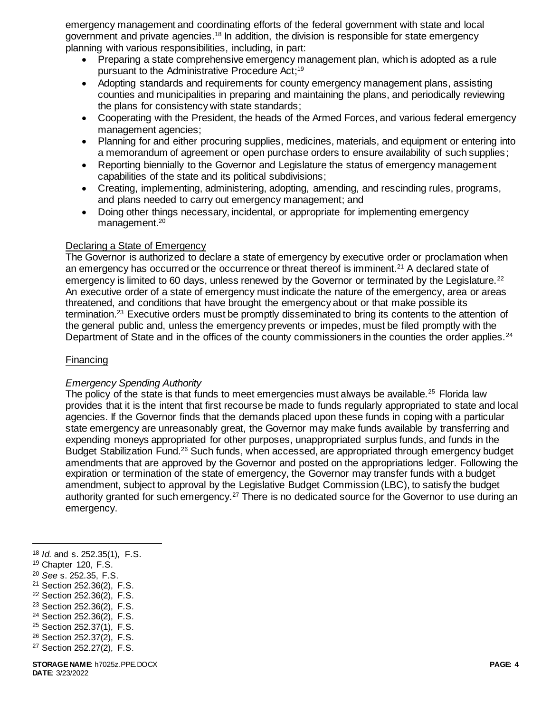emergency management and coordinating efforts of the federal government with state and local government and private agencies.<sup>18</sup> In addition, the division is responsible for state emergency planning with various responsibilities, including, in part:

- Preparing a state comprehensive emergency management plan, which is adopted as a rule pursuant to the Administrative Procedure Act; 19
- Adopting standards and requirements for county emergency management plans, assisting counties and municipalities in preparing and maintaining the plans, and periodically reviewing the plans for consistency with state standards;
- Cooperating with the President, the heads of the Armed Forces, and various federal emergency management agencies;
- Planning for and either procuring supplies, medicines, materials, and equipment or entering into a memorandum of agreement or open purchase orders to ensure availability of such supplies;
- Reporting biennially to the Governor and Legislature the status of emergency management capabilities of the state and its political subdivisions;
- Creating, implementing, administering, adopting, amending, and rescinding rules, programs, and plans needed to carry out emergency management; and
- Doing other things necessary, incidental, or appropriate for implementing emergency management.<sup>20</sup>

### Declaring a State of Emergency

The Governor is authorized to declare a state of emergency by executive order or proclamation when an emergency has occurred or the occurrence or threat thereof is imminent.<sup>21</sup> A declared state of emergency is limited to 60 days, unless renewed by the Governor or terminated by the Legislature.<sup>22</sup> An executive order of a state of emergency must indicate the nature of the emergency, area or areas threatened, and conditions that have brought the emergency about or that make possible its termination.<sup>23</sup> Executive orders must be promptly disseminated to bring its contents to the attention of the general public and, unless the emergency prevents or impedes, must be filed promptly with the Department of State and in the offices of the county commissioners in the counties the order applies.<sup>24</sup>

### Financing

### *Emergency Spending Authority*

The policy of the state is that funds to meet emergencies must always be available.<sup>25</sup> Florida law provides that it is the intent that first recourse be made to funds regularly appropriated to state and local agencies. If the Governor finds that the demands placed upon these funds in coping with a particular state emergency are unreasonably great, the Governor may make funds available by transferring and expending moneys appropriated for other purposes, unappropriated surplus funds, and funds in the Budget Stabilization Fund.<sup>26</sup> Such funds, when accessed, are appropriated through emergency budget amendments that are approved by the Governor and posted on the appropriations ledger. Following the expiration or termination of the state of emergency, the Governor may transfer funds with a budget amendment, subject to approval by the Legislative Budget Commission (LBC), to satisfy the budget authority granted for such emergency.<sup>27</sup> There is no dedicated source for the Governor to use during an emergency.

l

- <sup>22</sup> Section 252.36(2), F.S.
- <sup>23</sup> Section 252.36(2), F.S.
- <sup>24</sup> Section 252.36(2), F.S.
- <sup>25</sup> Section 252.37(1), F.S.
- <sup>26</sup> Section 252.37(2), F.S.
- <sup>27</sup> Section 252.27(2), F.S.

<sup>18</sup> *Id.* and s. 252.35(1), F.S.

<sup>19</sup> Chapter 120, F.S.

<sup>20</sup> *See* s. 252.35, F.S.

<sup>21</sup> Section 252.36(2), F.S.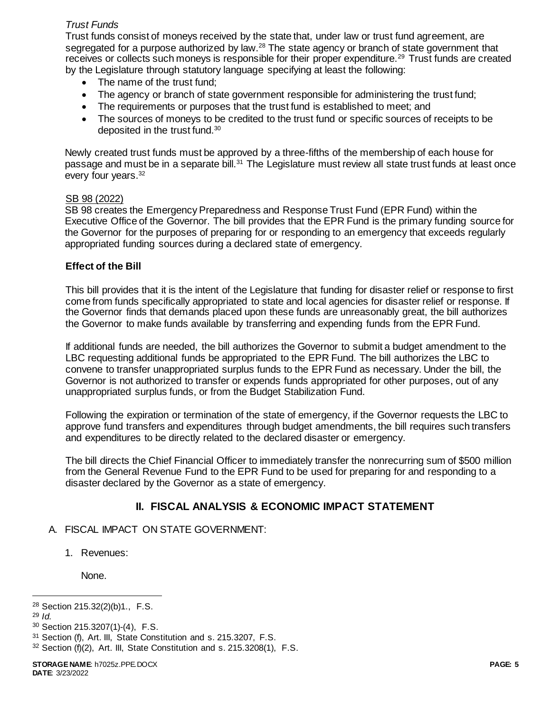## *Trust Funds*

Trust funds consist of moneys received by the state that, under law or trust fund agreement, are segregated for a purpose authorized by law.<sup>28</sup> The state agency or branch of state government that receives or collects such moneys is responsible for their proper expenditure.<sup>29</sup> Trust funds are created by the Legislature through statutory language specifying at least the following:

- The name of the trust fund;
- The agency or branch of state government responsible for administering the trust fund;
- The requirements or purposes that the trust fund is established to meet; and
- The sources of moneys to be credited to the trust fund or specific sources of receipts to be deposited in the trust fund.<sup>30</sup>

Newly created trust funds must be approved by a three-fifths of the membership of each house for passage and must be in a separate bill.<sup>31</sup> The Legislature must review all state trust funds at least once every four years.<sup>32</sup>

### SB 98 (2022)

SB 98 creates the Emergency Preparedness and Response Trust Fund (EPR Fund) within the Executive Office of the Governor. The bill provides that the EPR Fund is the primary funding source for the Governor for the purposes of preparing for or responding to an emergency that exceeds regularly appropriated funding sources during a declared state of emergency.

### **Effect of the Bill**

This bill provides that it is the intent of the Legislature that funding for disaster relief or response to first come from funds specifically appropriated to state and local agencies for disaster relief or response. If the Governor finds that demands placed upon these funds are unreasonably great, the bill authorizes the Governor to make funds available by transferring and expending funds from the EPR Fund.

If additional funds are needed, the bill authorizes the Governor to submit a budget amendment to the LBC requesting additional funds be appropriated to the EPR Fund. The bill authorizes the LBC to convene to transfer unappropriated surplus funds to the EPR Fund as necessary. Under the bill, the Governor is not authorized to transfer or expends funds appropriated for other purposes, out of any unappropriated surplus funds, or from the Budget Stabilization Fund.

Following the expiration or termination of the state of emergency, if the Governor requests the LBC to approve fund transfers and expenditures through budget amendments, the bill requires such transfers and expenditures to be directly related to the declared disaster or emergency.

The bill directs the Chief Financial Officer to immediately transfer the nonrecurring sum of \$500 million from the General Revenue Fund to the EPR Fund to be used for preparing for and responding to a disaster declared by the Governor as a state of emergency.

# **II. FISCAL ANALYSIS & ECONOMIC IMPACT STATEMENT**

- A. FISCAL IMPACT ON STATE GOVERNMENT:
	- 1. Revenues:

None.

<sup>29</sup> *Id.*

l

<sup>28</sup> Section 215.32(2)(b)1., F.S.

<sup>30</sup> Section 215.3207(1)-(4), F.S.

<sup>31</sup> Section (f), Art. III, State Constitution and s. 215.3207, F.S.

<sup>32</sup> Section (f)(2), Art. III, State Constitution and s. 215.3208(1), F.S.